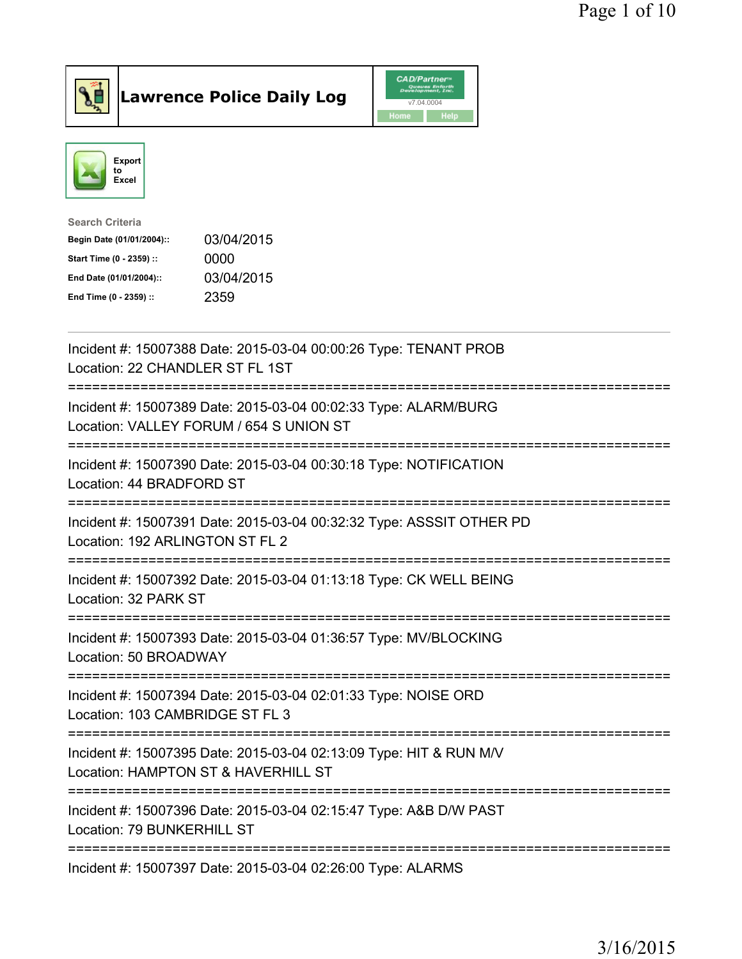



| <b>Search Criteria</b>    |            |
|---------------------------|------------|
| Begin Date (01/01/2004):: | 03/04/2015 |
| Start Time (0 - 2359) ::  | 0000       |
| End Date (01/01/2004)::   | 03/04/2015 |
| End Time (0 - 2359) ::    | 2359       |
|                           |            |

| Incident #: 15007388 Date: 2015-03-04 00:00:26 Type: TENANT PROB<br>Location: 22 CHANDLER ST FL 1ST               |
|-------------------------------------------------------------------------------------------------------------------|
| Incident #: 15007389 Date: 2015-03-04 00:02:33 Type: ALARM/BURG<br>Location: VALLEY FORUM / 654 S UNION ST        |
| Incident #: 15007390 Date: 2015-03-04 00:30:18 Type: NOTIFICATION<br>Location: 44 BRADFORD ST<br>-----------      |
| Incident #: 15007391 Date: 2015-03-04 00:32:32 Type: ASSSIT OTHER PD<br>Location: 192 ARLINGTON ST FL 2           |
| Incident #: 15007392 Date: 2015-03-04 01:13:18 Type: CK WELL BEING<br>Location: 32 PARK ST                        |
| Incident #: 15007393 Date: 2015-03-04 01:36:57 Type: MV/BLOCKING<br>Location: 50 BROADWAY<br>-------------------- |
| Incident #: 15007394 Date: 2015-03-04 02:01:33 Type: NOISE ORD<br>Location: 103 CAMBRIDGE ST FL 3                 |
|                                                                                                                   |
| Incident #: 15007395 Date: 2015-03-04 02:13:09 Type: HIT & RUN M/V<br>Location: HAMPTON ST & HAVERHILL ST         |
| Incident #: 15007396 Date: 2015-03-04 02:15:47 Type: A&B D/W PAST<br>Location: 79 BUNKERHILL ST                   |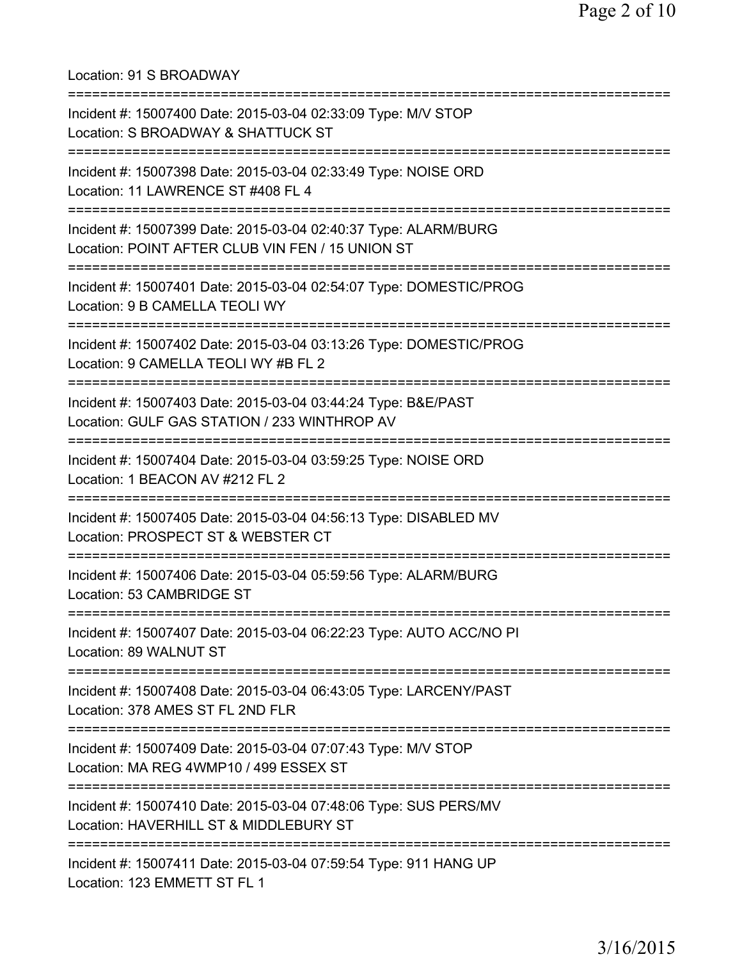Location: 91 S BROADWAY =========================================================================== Incident #: 15007400 Date: 2015-03-04 02:33:09 Type: M/V STOP Location: S BROADWAY & SHATTUCK ST =========================================================================== Incident #: 15007398 Date: 2015-03-04 02:33:49 Type: NOISE ORD Location: 11 LAWRENCE ST #408 FL 4 =========================================================================== Incident #: 15007399 Date: 2015-03-04 02:40:37 Type: ALARM/BURG Location: POINT AFTER CLUB VIN FEN / 15 UNION ST =========================================================================== Incident #: 15007401 Date: 2015-03-04 02:54:07 Type: DOMESTIC/PROG Location: 9 B CAMELLA TEOLI WY =========================================================================== Incident #: 15007402 Date: 2015-03-04 03:13:26 Type: DOMESTIC/PROG Location: 9 CAMELLA TEOLI WY #B FL 2 =========================================================================== Incident #: 15007403 Date: 2015-03-04 03:44:24 Type: B&E/PAST Location: GULF GAS STATION / 233 WINTHROP AV =========================================================================== Incident #: 15007404 Date: 2015-03-04 03:59:25 Type: NOISE ORD Location: 1 BEACON AV #212 FL 2 =========================================================================== Incident #: 15007405 Date: 2015-03-04 04:56:13 Type: DISABLED MV Location: PROSPECT ST & WEBSTER CT =========================================================================== Incident #: 15007406 Date: 2015-03-04 05:59:56 Type: ALARM/BURG Location: 53 CAMBRIDGE ST =========================================================================== Incident #: 15007407 Date: 2015-03-04 06:22:23 Type: AUTO ACC/NO PI Location: 89 WALNUT ST =========================================================================== Incident #: 15007408 Date: 2015-03-04 06:43:05 Type: LARCENY/PAST Location: 378 AMES ST FL 2ND FLR =========================================================================== Incident #: 15007409 Date: 2015-03-04 07:07:43 Type: M/V STOP Location: MA REG 4WMP10 / 499 ESSEX ST =========================================================================== Incident #: 15007410 Date: 2015-03-04 07:48:06 Type: SUS PERS/MV Location: HAVERHILL ST & MIDDLEBURY ST =========================================================================== Incident #: 15007411 Date: 2015-03-04 07:59:54 Type: 911 HANG UP Location: 123 EMMETT ST FL 1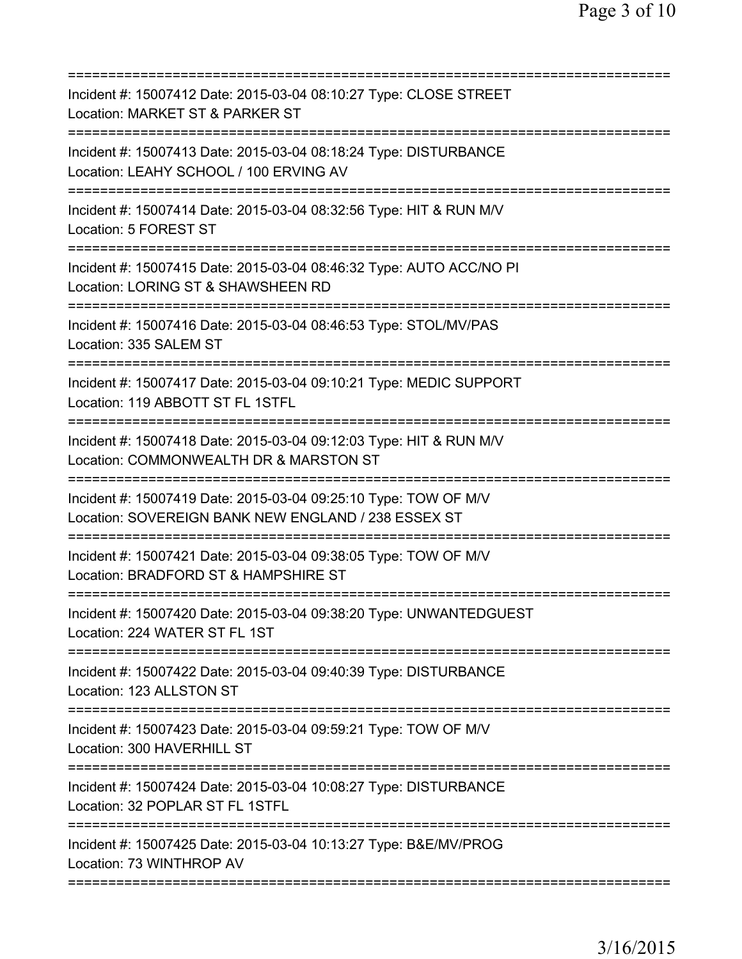| Incident #: 15007412 Date: 2015-03-04 08:10:27 Type: CLOSE STREET<br>Location: MARKET ST & PARKER ST<br>======================                            |
|-----------------------------------------------------------------------------------------------------------------------------------------------------------|
| Incident #: 15007413 Date: 2015-03-04 08:18:24 Type: DISTURBANCE<br>Location: LEAHY SCHOOL / 100 ERVING AV                                                |
| Incident #: 15007414 Date: 2015-03-04 08:32:56 Type: HIT & RUN M/V<br>Location: 5 FOREST ST                                                               |
| Incident #: 15007415 Date: 2015-03-04 08:46:32 Type: AUTO ACC/NO PI<br>Location: LORING ST & SHAWSHEEN RD<br>=========================                    |
| Incident #: 15007416 Date: 2015-03-04 08:46:53 Type: STOL/MV/PAS<br>Location: 335 SALEM ST                                                                |
| Incident #: 15007417 Date: 2015-03-04 09:10:21 Type: MEDIC SUPPORT<br>Location: 119 ABBOTT ST FL 1STFL                                                    |
| Incident #: 15007418 Date: 2015-03-04 09:12:03 Type: HIT & RUN M/V<br>Location: COMMONWEALTH DR & MARSTON ST                                              |
| Incident #: 15007419 Date: 2015-03-04 09:25:10 Type: TOW OF M/V<br>Location: SOVEREIGN BANK NEW ENGLAND / 238 ESSEX ST<br>=============================== |
| Incident #: 15007421 Date: 2015-03-04 09:38:05 Type: TOW OF M/V<br>Location: BRADFORD ST & HAMPSHIRE ST                                                   |
| Incident #: 15007420 Date: 2015-03-04 09:38:20 Type: UNWANTEDGUEST<br>Location: 224 WATER ST FL 1ST<br>======================================             |
| Incident #: 15007422 Date: 2015-03-04 09:40:39 Type: DISTURBANCE<br>Location: 123 ALLSTON ST                                                              |
| Incident #: 15007423 Date: 2015-03-04 09:59:21 Type: TOW OF M/V<br>Location: 300 HAVERHILL ST                                                             |
| Incident #: 15007424 Date: 2015-03-04 10:08:27 Type: DISTURBANCE<br>Location: 32 POPLAR ST FL 1STFL                                                       |
| Incident #: 15007425 Date: 2015-03-04 10:13:27 Type: B&E/MV/PROG<br>Location: 73 WINTHROP AV                                                              |
|                                                                                                                                                           |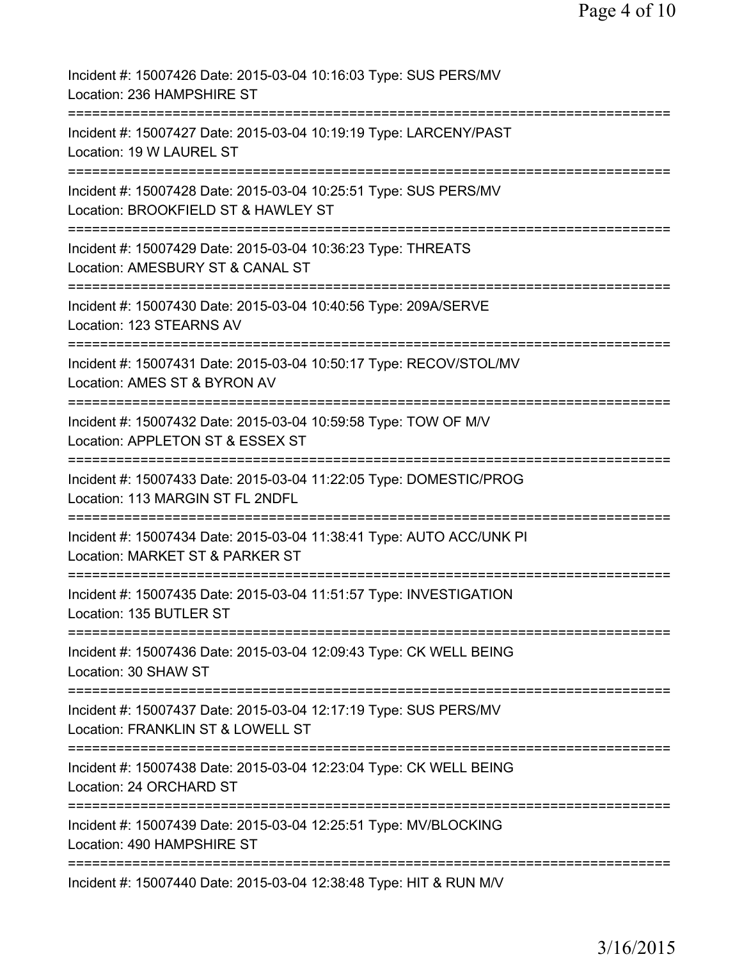| Incident #: 15007426 Date: 2015-03-04 10:16:03 Type: SUS PERS/MV<br>Location: 236 HAMPSHIRE ST          |
|---------------------------------------------------------------------------------------------------------|
| Incident #: 15007427 Date: 2015-03-04 10:19:19 Type: LARCENY/PAST<br>Location: 19 W LAUREL ST           |
| Incident #: 15007428 Date: 2015-03-04 10:25:51 Type: SUS PERS/MV<br>Location: BROOKFIELD ST & HAWLEY ST |
| Incident #: 15007429 Date: 2015-03-04 10:36:23 Type: THREATS<br>Location: AMESBURY ST & CANAL ST        |
| Incident #: 15007430 Date: 2015-03-04 10:40:56 Type: 209A/SERVE<br>Location: 123 STEARNS AV             |
| Incident #: 15007431 Date: 2015-03-04 10:50:17 Type: RECOV/STOL/MV<br>Location: AMES ST & BYRON AV      |
| Incident #: 15007432 Date: 2015-03-04 10:59:58 Type: TOW OF M/V<br>Location: APPLETON ST & ESSEX ST     |
| Incident #: 15007433 Date: 2015-03-04 11:22:05 Type: DOMESTIC/PROG<br>Location: 113 MARGIN ST FL 2NDFL  |
| Incident #: 15007434 Date: 2015-03-04 11:38:41 Type: AUTO ACC/UNK PI<br>Location: MARKET ST & PARKER ST |
| Incident #: 15007435 Date: 2015-03-04 11:51:57 Type: INVESTIGATION<br>Location: 135 BUTLER ST           |
| Incident #: 15007436 Date: 2015-03-04 12:09:43 Type: CK WELL BEING<br>Location: 30 SHAW ST              |
| Incident #: 15007437 Date: 2015-03-04 12:17:19 Type: SUS PERS/MV<br>Location: FRANKLIN ST & LOWELL ST   |
| Incident #: 15007438 Date: 2015-03-04 12:23:04 Type: CK WELL BEING<br>Location: 24 ORCHARD ST           |
| Incident #: 15007439 Date: 2015-03-04 12:25:51 Type: MV/BLOCKING<br>Location: 490 HAMPSHIRE ST          |
| Incident #: 15007440 Date: 2015-03-04 12:38:48 Type: HIT & RUN M/V                                      |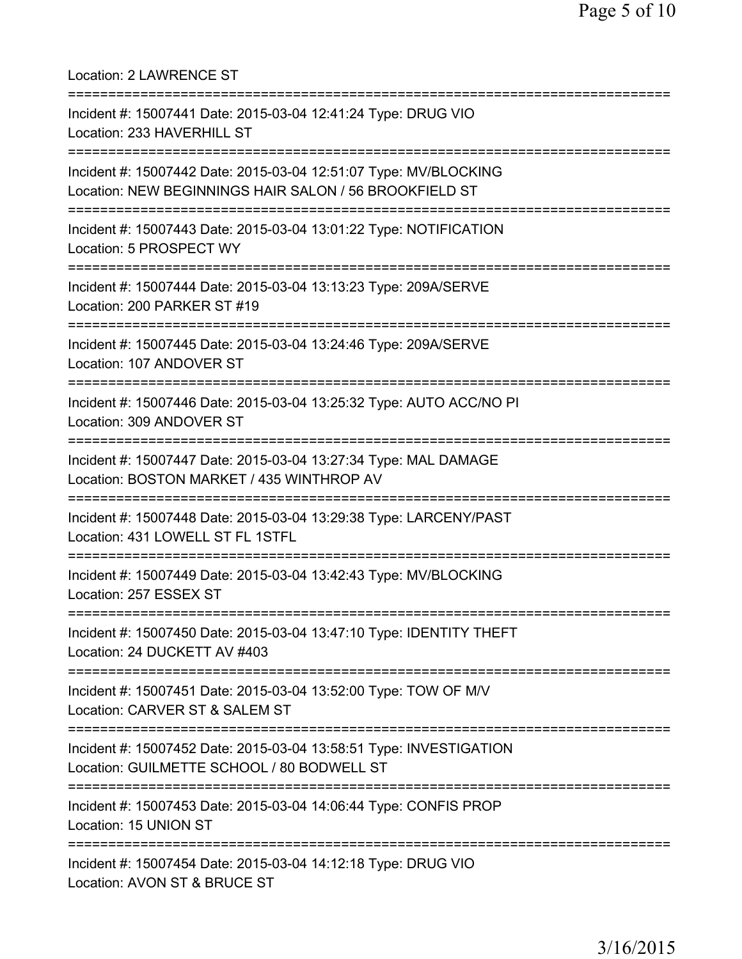Location: 2 LAWRENCE ST =========================================================================== Incident #: 15007441 Date: 2015-03-04 12:41:24 Type: DRUG VIO Location: 233 HAVERHILL ST =========================================================================== Incident #: 15007442 Date: 2015-03-04 12:51:07 Type: MV/BLOCKING Location: NEW BEGINNINGS HAIR SALON / 56 BROOKFIELD ST =========================================================================== Incident #: 15007443 Date: 2015-03-04 13:01:22 Type: NOTIFICATION Location: 5 PROSPECT WY =========================================================================== Incident #: 15007444 Date: 2015-03-04 13:13:23 Type: 209A/SERVE Location: 200 PARKER ST #19 =========================================================================== Incident #: 15007445 Date: 2015-03-04 13:24:46 Type: 209A/SERVE Location: 107 ANDOVER ST =========================================================================== Incident #: 15007446 Date: 2015-03-04 13:25:32 Type: AUTO ACC/NO PI Location: 309 ANDOVER ST =========================================================================== Incident #: 15007447 Date: 2015-03-04 13:27:34 Type: MAL DAMAGE Location: BOSTON MARKET / 435 WINTHROP AV =========================================================================== Incident #: 15007448 Date: 2015-03-04 13:29:38 Type: LARCENY/PAST Location: 431 LOWELL ST FL 1STFL =========================================================================== Incident #: 15007449 Date: 2015-03-04 13:42:43 Type: MV/BLOCKING Location: 257 ESSEX ST =========================================================================== Incident #: 15007450 Date: 2015-03-04 13:47:10 Type: IDENTITY THEFT Location: 24 DUCKETT AV #403 =========================================================================== Incident #: 15007451 Date: 2015-03-04 13:52:00 Type: TOW OF M/V Location: CARVER ST & SALEM ST =========================================================================== Incident #: 15007452 Date: 2015-03-04 13:58:51 Type: INVESTIGATION Location: GUILMETTE SCHOOL / 80 BODWELL ST =========================================================================== Incident #: 15007453 Date: 2015-03-04 14:06:44 Type: CONFIS PROP Location: 15 UNION ST =========================================================================== Incident #: 15007454 Date: 2015-03-04 14:12:18 Type: DRUG VIO Location: AVON ST & BRUCE ST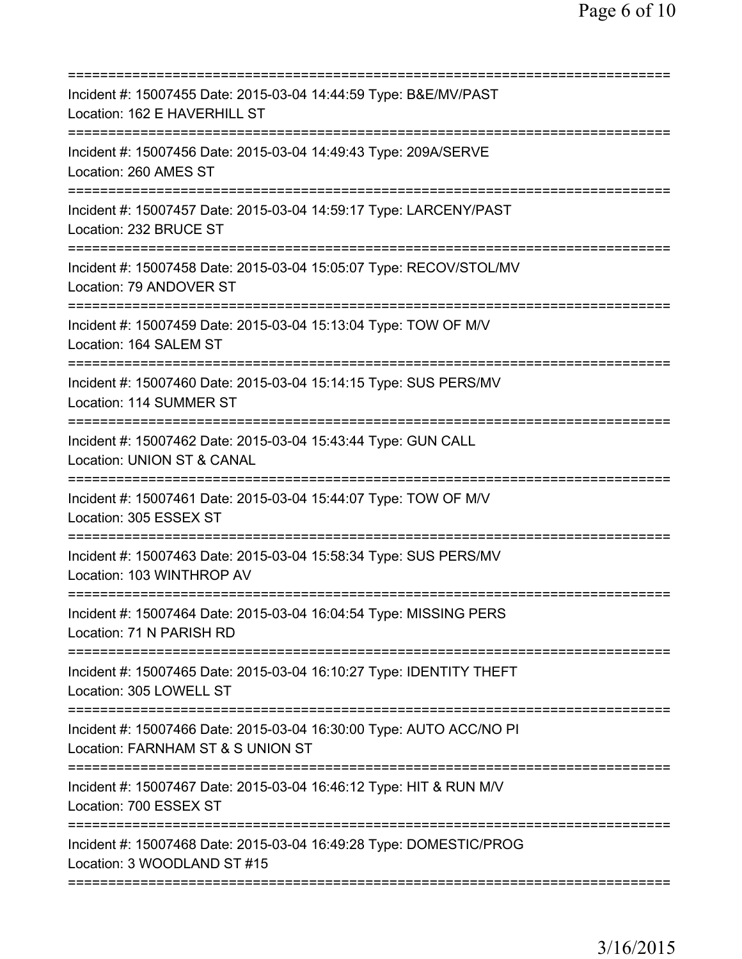| Incident #: 15007455 Date: 2015-03-04 14:44:59 Type: B&E/MV/PAST<br>Location: 162 E HAVERHILL ST         |
|----------------------------------------------------------------------------------------------------------|
| Incident #: 15007456 Date: 2015-03-04 14:49:43 Type: 209A/SERVE<br>Location: 260 AMES ST                 |
| Incident #: 15007457 Date: 2015-03-04 14:59:17 Type: LARCENY/PAST<br>Location: 232 BRUCE ST              |
| Incident #: 15007458 Date: 2015-03-04 15:05:07 Type: RECOV/STOL/MV<br>Location: 79 ANDOVER ST            |
| Incident #: 15007459 Date: 2015-03-04 15:13:04 Type: TOW OF M/V<br>Location: 164 SALEM ST                |
| Incident #: 15007460 Date: 2015-03-04 15:14:15 Type: SUS PERS/MV<br>Location: 114 SUMMER ST              |
| Incident #: 15007462 Date: 2015-03-04 15:43:44 Type: GUN CALL<br>Location: UNION ST & CANAL              |
| Incident #: 15007461 Date: 2015-03-04 15:44:07 Type: TOW OF M/V<br>Location: 305 ESSEX ST                |
| Incident #: 15007463 Date: 2015-03-04 15:58:34 Type: SUS PERS/MV<br>Location: 103 WINTHROP AV            |
| Incident #: 15007464 Date: 2015-03-04 16:04:54 Type: MISSING PERS<br>Location: 71 N PARISH RD            |
| Incident #: 15007465 Date: 2015-03-04 16:10:27 Type: IDENTITY THEFT<br>Location: 305 LOWELL ST           |
| Incident #: 15007466 Date: 2015-03-04 16:30:00 Type: AUTO ACC/NO PI<br>Location: FARNHAM ST & S UNION ST |
| Incident #: 15007467 Date: 2015-03-04 16:46:12 Type: HIT & RUN M/V<br>Location: 700 ESSEX ST             |
| Incident #: 15007468 Date: 2015-03-04 16:49:28 Type: DOMESTIC/PROG<br>Location: 3 WOODLAND ST #15        |
|                                                                                                          |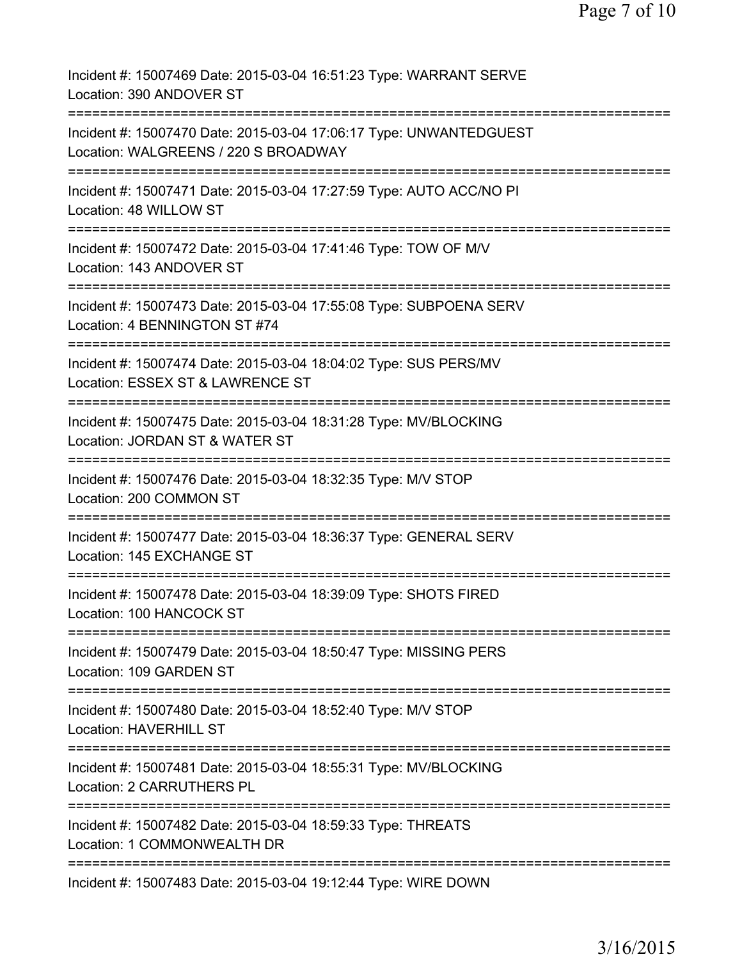Incident #: 15007469 Date: 2015-03-04 16:51:23 Type: WARRANT SERVE Location: 390 ANDOVER ST =========================================================================== Incident #: 15007470 Date: 2015-03-04 17:06:17 Type: UNWANTEDGUEST Location: WALGREENS / 220 S BROADWAY =========================================================================== Incident #: 15007471 Date: 2015-03-04 17:27:59 Type: AUTO ACC/NO PI Location: 48 WILLOW ST =========================================================================== Incident #: 15007472 Date: 2015-03-04 17:41:46 Type: TOW OF M/V Location: 143 ANDOVER ST =========================================================================== Incident #: 15007473 Date: 2015-03-04 17:55:08 Type: SUBPOENA SERV Location: 4 BENNINGTON ST #74 =========================================================================== Incident #: 15007474 Date: 2015-03-04 18:04:02 Type: SUS PERS/MV Location: ESSEX ST & LAWRENCE ST =========================================================================== Incident #: 15007475 Date: 2015-03-04 18:31:28 Type: MV/BLOCKING Location: JORDAN ST & WATER ST =========================================================================== Incident #: 15007476 Date: 2015-03-04 18:32:35 Type: M/V STOP Location: 200 COMMON ST =========================================================================== Incident #: 15007477 Date: 2015-03-04 18:36:37 Type: GENERAL SERV Location: 145 EXCHANGE ST =========================================================================== Incident #: 15007478 Date: 2015-03-04 18:39:09 Type: SHOTS FIRED Location: 100 HANCOCK ST =========================================================================== Incident #: 15007479 Date: 2015-03-04 18:50:47 Type: MISSING PERS Location: 109 GARDEN ST =========================================================================== Incident #: 15007480 Date: 2015-03-04 18:52:40 Type: M/V STOP Location: HAVERHILL ST =========================================================================== Incident #: 15007481 Date: 2015-03-04 18:55:31 Type: MV/BLOCKING Location: 2 CARRUTHERS PL =========================================================================== Incident #: 15007482 Date: 2015-03-04 18:59:33 Type: THREATS Location: 1 COMMONWEALTH DR =========================================================================== Incident #: 15007483 Date: 2015-03-04 19:12:44 Type: WIRE DOWN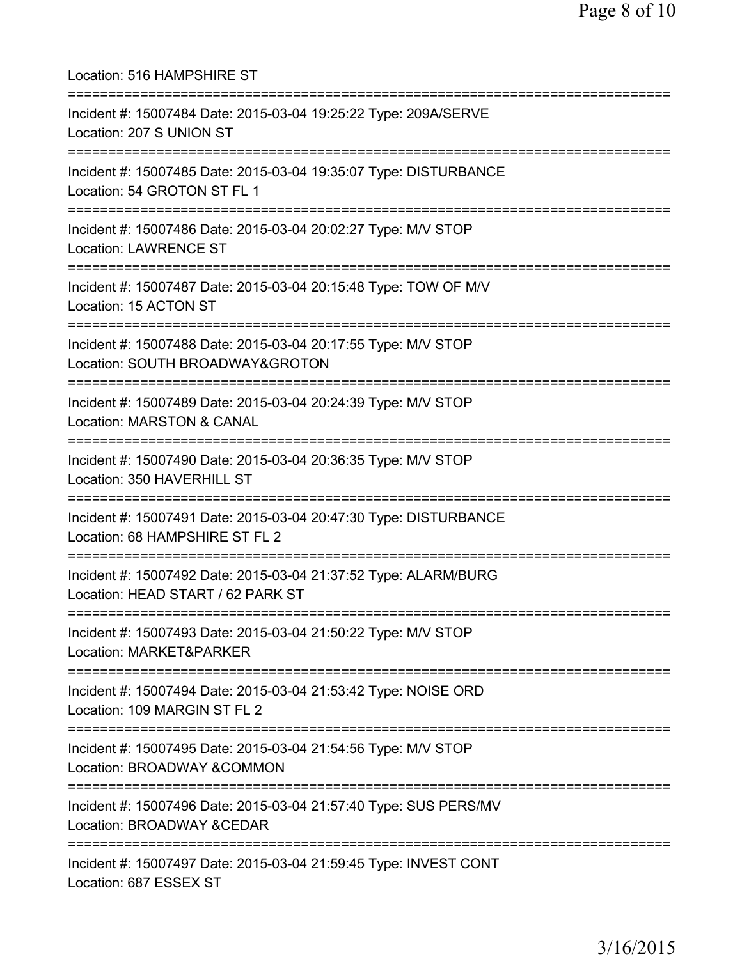| Location: 516 HAMPSHIRE ST                                                                                                       |
|----------------------------------------------------------------------------------------------------------------------------------|
| Incident #: 15007484 Date: 2015-03-04 19:25:22 Type: 209A/SERVE<br>Location: 207 S UNION ST<br>:==================               |
| Incident #: 15007485 Date: 2015-03-04 19:35:07 Type: DISTURBANCE<br>Location: 54 GROTON ST FL 1<br>=======================       |
| Incident #: 15007486 Date: 2015-03-04 20:02:27 Type: M/V STOP<br><b>Location: LAWRENCE ST</b>                                    |
| Incident #: 15007487 Date: 2015-03-04 20:15:48 Type: TOW OF M/V<br>Location: 15 ACTON ST                                         |
| Incident #: 15007488 Date: 2015-03-04 20:17:55 Type: M/V STOP<br>Location: SOUTH BROADWAY&GROTON                                 |
| Incident #: 15007489 Date: 2015-03-04 20:24:39 Type: M/V STOP<br><b>Location: MARSTON &amp; CANAL</b>                            |
| Incident #: 15007490 Date: 2015-03-04 20:36:35 Type: M/V STOP<br>Location: 350 HAVERHILL ST                                      |
| Incident #: 15007491 Date: 2015-03-04 20:47:30 Type: DISTURBANCE<br>Location: 68 HAMPSHIRE ST FL 2<br>========================== |
| Incident #: 15007492 Date: 2015-03-04 21:37:52 Type: ALARM/BURG<br>Location: HEAD START / 62 PARK ST                             |
| Incident #: 15007493 Date: 2015-03-04 21:50:22 Type: M/V STOP<br>Location: MARKET&PARKER                                         |
| Incident #: 15007494 Date: 2015-03-04 21:53:42 Type: NOISE ORD<br>Location: 109 MARGIN ST FL 2                                   |
| Incident #: 15007495 Date: 2015-03-04 21:54:56 Type: M/V STOP<br>Location: BROADWAY &COMMON                                      |
| :========================<br>Incident #: 15007496 Date: 2015-03-04 21:57:40 Type: SUS PERS/MV<br>Location: BROADWAY &CEDAR       |
| Incident #: 15007497 Date: 2015-03-04 21:59:45 Type: INVEST CONT<br>Location: 687 ESSEX ST                                       |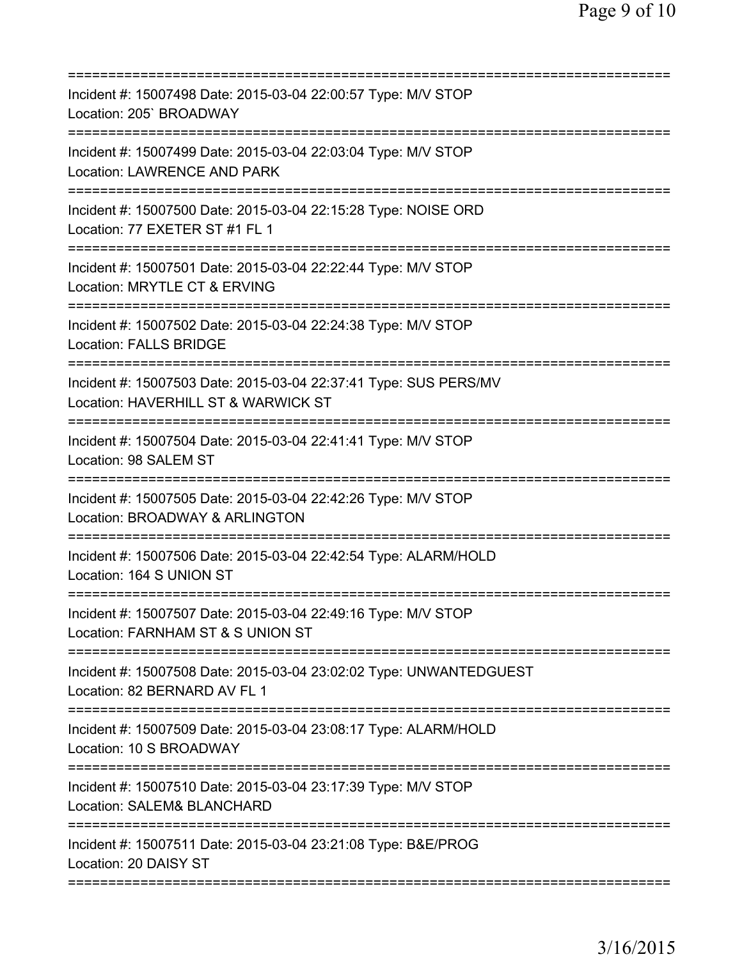| Incident #: 15007498 Date: 2015-03-04 22:00:57 Type: M/V STOP<br>Location: 205' BROADWAY                |
|---------------------------------------------------------------------------------------------------------|
| Incident #: 15007499 Date: 2015-03-04 22:03:04 Type: M/V STOP<br>Location: LAWRENCE AND PARK            |
| Incident #: 15007500 Date: 2015-03-04 22:15:28 Type: NOISE ORD<br>Location: 77 EXETER ST #1 FL 1        |
| Incident #: 15007501 Date: 2015-03-04 22:22:44 Type: M/V STOP<br>Location: MRYTLE CT & ERVING           |
| Incident #: 15007502 Date: 2015-03-04 22:24:38 Type: M/V STOP<br><b>Location: FALLS BRIDGE</b>          |
| Incident #: 15007503 Date: 2015-03-04 22:37:41 Type: SUS PERS/MV<br>Location: HAVERHILL ST & WARWICK ST |
| Incident #: 15007504 Date: 2015-03-04 22:41:41 Type: M/V STOP<br>Location: 98 SALEM ST                  |
| Incident #: 15007505 Date: 2015-03-04 22:42:26 Type: M/V STOP<br>Location: BROADWAY & ARLINGTON         |
| Incident #: 15007506 Date: 2015-03-04 22:42:54 Type: ALARM/HOLD<br>Location: 164 S UNION ST             |
| Incident #: 15007507 Date: 2015-03-04 22:49:16 Type: M/V STOP<br>Location: FARNHAM ST & S UNION ST      |
| Incident #: 15007508 Date: 2015-03-04 23:02:02 Type: UNWANTEDGUEST<br>Location: 82 BERNARD AV FL 1      |
| Incident #: 15007509 Date: 2015-03-04 23:08:17 Type: ALARM/HOLD<br>Location: 10 S BROADWAY              |
| Incident #: 15007510 Date: 2015-03-04 23:17:39 Type: M/V STOP<br>Location: SALEM& BLANCHARD             |
| Incident #: 15007511 Date: 2015-03-04 23:21:08 Type: B&E/PROG<br>Location: 20 DAISY ST                  |
|                                                                                                         |